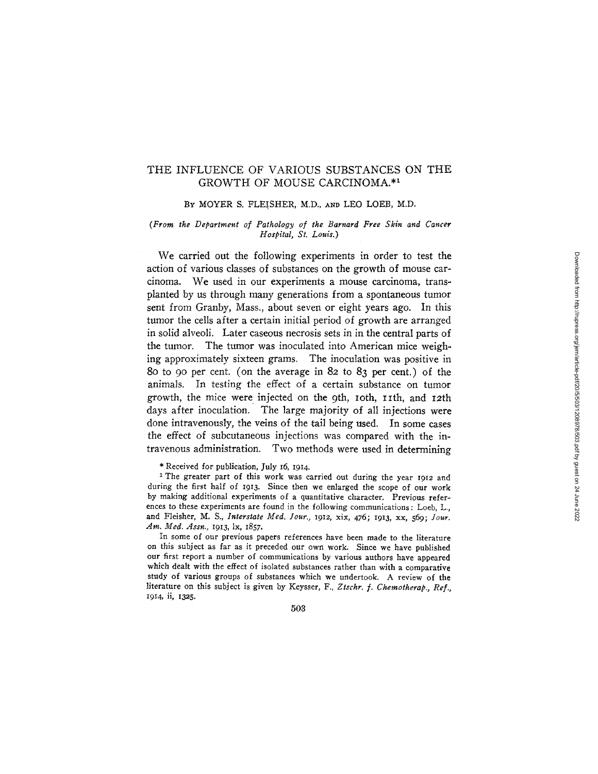## THE INFLUENCE OF VARIOUS SUBSTANCES ON THE GROWTH OF MOUSE CARCINOMA.\*1

BY MOYER S. FLEISHER, M.D., AND LEO LOEB, M.D.

## *(From the Department of Pathology of the Barnard Free Skin and Cancer Hospital, St. Louis.)*

We carried out the following experiments in order to test the action of various classes of substances on the growth of mouse carcinoma. We used in our experiments a mouse carcinoma, transplanted by us through many generations from a spontaneous tumor sent from Granby, Mass., about seven or eight years ago. In this tumor the cells after a certain initial period of growth are arranged in solid alveoli. Later caseous necrosis sets in in the central parts of the tumor. The tumor was inoculated into American mice weighing approximately sixteen grams. The inoculation was positive in 80 to 90 per cent. (on the average in 82 to 83 per cent.) of the animals. In testing the effect of a certain substance on tumor growth, the mice were injected on the 9th, 10th, 11th, and 12th days after inoculation. The large majority of all injections were done intravenously, the veins of the tail being used. In some cases the effect of subcutaneous injections was compared with the intravenous administration. Two methods were used in determining

\* Received for publication, July 16, 1914.

<sup>1</sup> The greater part of this work was carried out during the year 1912 and during the first half of 1913. Since then we enlarged the scope of our work by making additional experiments of a quantitative character. Previous references to these experiments are found in the following communications: Loeb, L., and Fleisher, M. S., *Interstate Med. Jour.,* 1912, xix, 476; 1913, xx, 569; *lour. Am. Med. Assn.,* 1913, lx, 1857.

In some of our previous papers references have been made to the literature on this subject as far as it preceded our own work. Since we have published our first report a number of communications by various authors have appeared which dealt with the effect of isolated substances rather than with a comparative study of various groups of substances which we undertook. A review of the literature on this subject is given by Keysser, F., *Ztschr. f. Chemotherap., Ref.,*  1914, ii, I325.

503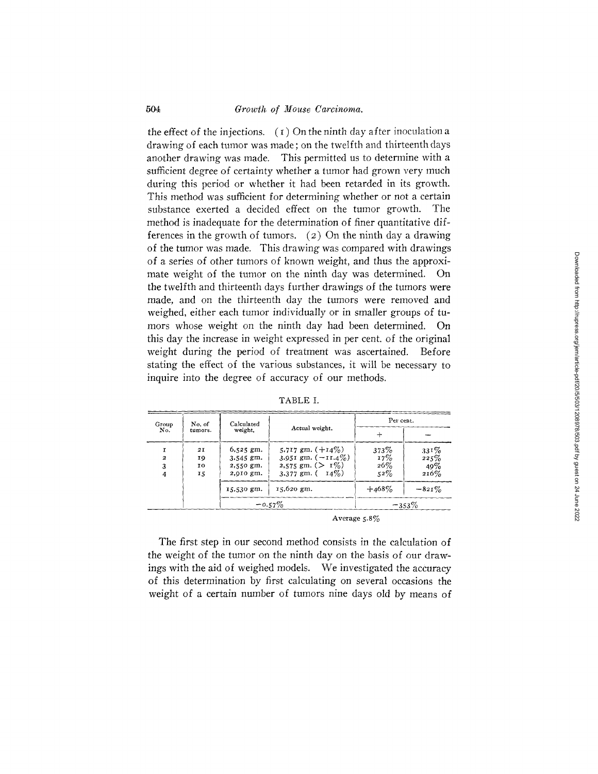the effect of the injections.  $(1)$  On the ninth day after inoculation a drawing of each tumor was made; on the twelfth and thirteenth days another drawing was made. This permitted us to determine with a sufficient degree of certainty whether a tumor had grown very much during this period or whether it had been retarded in its growth. This method was sufficient for determining whether or not a certain substance exerted a decided effect on the tumor growth. The method is inadequate for the determination of finer quantitative differences in the growth of tumors. (2) On the ninth day a drawing of the tumor was made. This drawing was compared with drawings of a series of other tumors of known weight, and thus the approximate weight of the tumor on the ninth day was determined. On the twelfth and thirteenth days further drawings of the tumors were made, and on the thirteenth day the tumors were removed and weighed, either each tumor individually or in smaller groups of tumors whose weight on the ninth day had been determined. On this day the increase in weight expressed in per cent. of the original weight during the period of treatment was ascertained. Before stating the effect of the various substances, it will be necessary to inquire into the degree of accuracy of our methods.

| ,<br>н<br>. . |  |
|---------------|--|
|---------------|--|

| weight.<br>$6,525$ gm.<br>3,545 gm. | Actual weight.<br>5.717 gm. $(+14\%)$<br>3,951 gm. $(-11.4\%)$ | $373\%$<br>17% | 33 $1\%$<br>225% |
|-------------------------------------|----------------------------------------------------------------|----------------|------------------|
|                                     |                                                                |                |                  |
|                                     |                                                                |                |                  |
|                                     |                                                                |                |                  |
| 2,550 gm.                           | 2,575 gm. $($ $>$ 1%)                                          | $26\%$         | 49%              |
| 2.010 gm.                           | 3.377 gm. $(14\%)$                                             | $52\%$         | 216%             |
| 15,530 gm.                          | 15,620 gm.                                                     | $+468\%$       | $-821\%$         |
|                                     |                                                                |                | $-353\%$         |
|                                     |                                                                | $-0.57\%$      | Average $5.8\%$  |

The first step in our second method consists in the calculation of the weight of the tumor on the ninth day on the basis of our drawings with the aid of weighed models. We investigated the accuracy of this determination by first calculating on several occasions the weight of a certain number of tumors nine days old by means of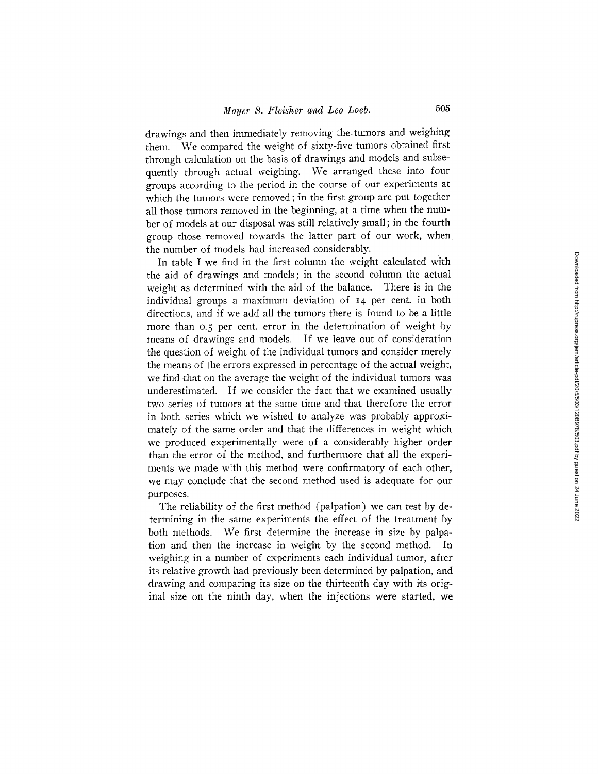drawings and then immediately removing the.tumors and weighing them. We compared the weight of sixty-five tumors obtained first through calculation on the basis of drawings and models and subsequently through actual weighing. We arranged these into four groups according to the period in the course of our experiments at which the tumors were removed; in the first group are put together all those tumors removed in the beginning, at a time when the number of models at our disposal was still relatively small; in the fourth group those removed towards the latter part of our work, when the number of models had increased considerably.

In table I we find in the first column the weight calculated With the aid of drawings and models; in the second column the actual weight as determined with the aid of the balance. There is in the individual groups a maximum deviation of 14 per cent. in both directions, and if we add all the tumors there is found to be a little more than 0.5 per cent. error in the determination of weight by means of drawings and models. If we leave out of consideration the question of weight of the individual tumors and consider merely the means of the errors expressed in percentage of the actual weight, we find that on the average the weight of the individual tumors was underestimated. If we consider the fact that we examined usually two series of tumors at the same time and that therefore the error in both series which we wished to analyze was probably approximately of the same order and that the differences in weight which we produced experimentally were of a considerably higher order than the error of the method, and furthermore that all the experiments we made with this method were confirmatory of each other, we may conclude that the second method used is adequate for our purposes.

The reliability of the first method (palpation) we can test by determining in the same experiments the effect of the treatment by both methods. We first determine the increase in size by palpation and then the increase in weight by the second method. In weighing in a number of experiments each individual tumor, after its relative growth had previously been determined by palpation, and drawing and comparing its size on the thirteenth day with its original size on the ninth day, when the injections were started, we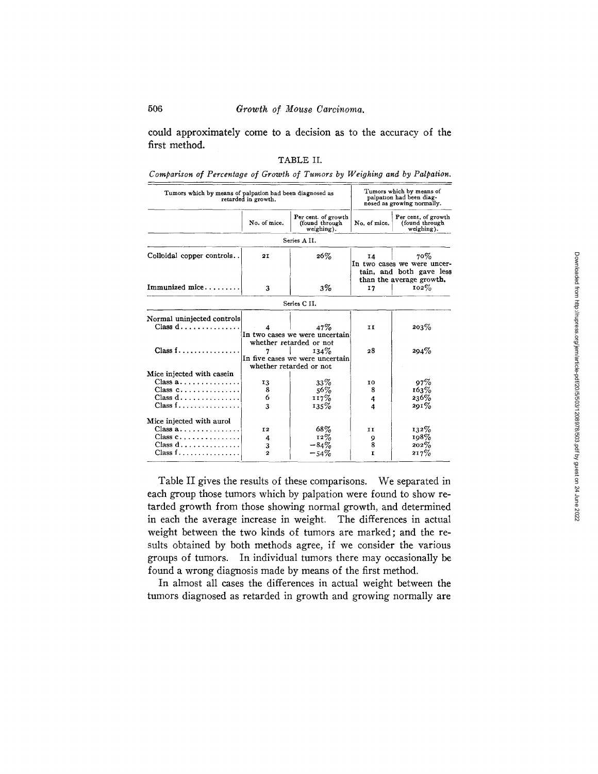could approximately come to a decision as to the accuracy of the first method.

| ο<br>ΛD. |  |
|----------|--|
|          |  |

Comparison of Percentage of Growth of Tumors by Weighing and by Palpation.

| Tumors which by means of palpation had been diagnosed as | retarded in growth. |                                                     | Tumors which by means of<br>palpation had been diag-<br>nosed as growing normally. |                                                                   |  |  |
|----------------------------------------------------------|---------------------|-----------------------------------------------------|------------------------------------------------------------------------------------|-------------------------------------------------------------------|--|--|
|                                                          | No. of mice.        | Per cent. of growth<br>(found through<br>weighing). | No. of mice.                                                                       | Per cent. of growth<br>(found through<br>weighing).               |  |  |
|                                                          |                     | Series AII.                                         |                                                                                    |                                                                   |  |  |
| Colloidal copper controls                                | 2I                  | 26%                                                 | 14                                                                                 | $70\%$<br>In two cases we were uncer-<br>tain, and both gave less |  |  |
| Immunized mice                                           | 3                   | $3\%$                                               | 17                                                                                 | than the average growth.<br>$102\%$                               |  |  |
|                                                          |                     |                                                     |                                                                                    |                                                                   |  |  |
|                                                          |                     | Series C II.                                        |                                                                                    |                                                                   |  |  |
| Normal uninjected controls                               |                     |                                                     |                                                                                    |                                                                   |  |  |
| Class $d \ldots \ldots \ldots \ldots$                    |                     | 47%                                                 | TI.                                                                                | 203%                                                              |  |  |
|                                                          |                     | In two cases we were uncertain                      |                                                                                    |                                                                   |  |  |
|                                                          |                     | whether retarded or not                             |                                                                                    |                                                                   |  |  |
| Class $f$                                                | 7                   | 134%                                                | 28                                                                                 | 294%                                                              |  |  |
|                                                          |                     | In five cases we were uncertain                     |                                                                                    |                                                                   |  |  |
|                                                          |                     | whether retarded or not                             |                                                                                    |                                                                   |  |  |
| Mice injected with casein                                |                     |                                                     |                                                                                    |                                                                   |  |  |
| $Class a \dots \dots \dots \dots \dots$                  | 13                  | $33\%$                                              | 10                                                                                 | 97%                                                               |  |  |
| Class $c$                                                | 8                   | 56%                                                 | 8                                                                                  | 163%                                                              |  |  |
| Class $d \dots \dots \dots \dots$                        | 6                   | 117%                                                | 4                                                                                  | 236%                                                              |  |  |
| $Class f$                                                | 3                   | 135%                                                | $\boldsymbol{4}$                                                                   | 291 $\%$                                                          |  |  |
| Mice injected with aurol                                 |                     |                                                     |                                                                                    |                                                                   |  |  |
| Class $a_1, a_2, a_3, a_4, a_5, a_6$                     | 12                  | 68%                                                 | <b>TT</b>                                                                          | 132%                                                              |  |  |
| Class $c_1, \ldots, c_n, \ldots, c_n$                    | 4                   | 12%                                                 | 9                                                                                  | 108%                                                              |  |  |
| Class $d_1, \ldots, d_n, \ldots, d_n$                    | 3                   | $-84%$                                              | 8                                                                                  | 202%                                                              |  |  |
| $Class f \dots $                                         | 2                   | $-54%$                                              | I                                                                                  | 217%                                                              |  |  |

Table II gives the results of these comparisons. We separated in each group those tumors which by palpation were found to show retarded growth from those showing normal growth, and determined in each the average increase in weight. The differences in actual weight between the two kinds of tumors are marked; and the results obtained by both methods agree, if we consider the various groups of tumors. In individual tumors there may occasionally be found a wrong diagnosis made by means of the first method.

In almost all cases the differences in actual weight between the tumors diagnosed as retarded in growth and growing normally are

506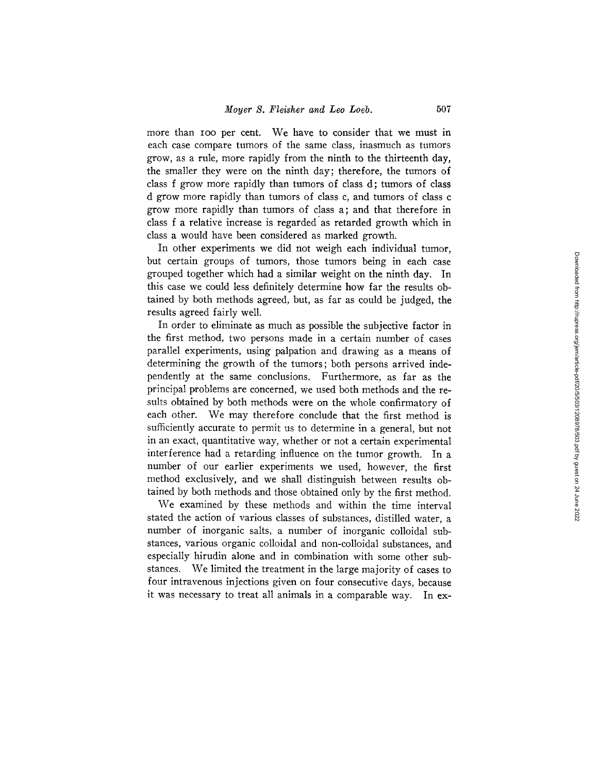more than IOO per cent. We have to consider that we must in each case compare tumors of the same class, inasmuch as tumors grow, as a rule, more rapidly from the ninth to the thirteenth day, the smaller they were on the ninth day; therefore, the tumors of class f grow more rapidly than tumors of class d; tumors of class d grow more rapidly than tumors of class c, and tumors of class c grow more rapidly than tumors of class a; and that therefore in class f a relative increase is regarded as retarded growth which in class a would have been considered as marked growth.

In other experiments we did not weigh each individual tumor, but certain groups of tumors, those tumors being in each case grouped together which had a similar weight on the ninth day. In this case we could less definitely determine how far the results obtained by both methods agreed, but, as far as could be judged, the results agreed fairly well.

In order to eliminate as much as possible the subjective factor in the first method, two persons made in a certain number of cases parallel experiments, using palpation and drawing as a means of determining the growth of the tumors; both persons arrived independently at the same conclusions. Furthermore, as far as the principal problems are concerned, we used both methods and the resuits obtained by both methods were on the whole confirmatory of each other. We may therefore conclude that the first method is sufficiently accurate to permit us to determine in a general, but not in an exact, quantitative way, whether or not a certain experimental interference had a retarding influence on the tumor growth. In a number of our earlier experiments we used, however, the first method exclusively, and we shall distinguish between results obtained by both methods and those obtained only by the first method.

We examined by these methods and within the time interval stated the action of various classes of substances, distilled water, a number of inorganic salts, a number of inorganic colloidal substances, various organic colloidal and non-colloidal substances, and especially hirudin alone and in combination with some other substances. We limited the treatment in the large majority of cases to four intravenous injections given on four consecutive days, because it was necessary to treat all animals in a comparable way. In ex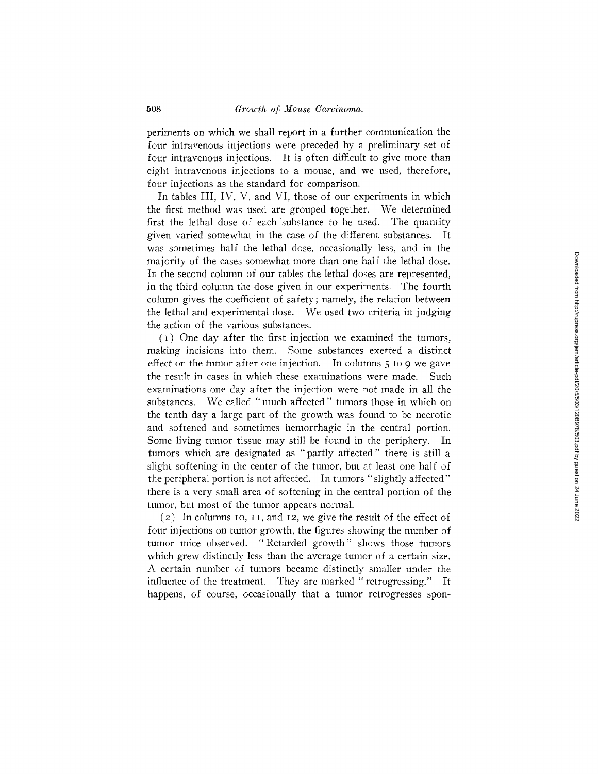periments on which we shall report in a further communication the four intravenous injections were preceded by a preliminary set of four intravenous injections. It is often difficult to give more than eight intravenous injections to a mouse, and we used, therefore, four injections as the standard for comparison.

In tables III, IV, V, and VI, those of our experiments in which the first method was used are grouped together. We determined first the lethal dose of each substance to be used. The quantity given varied somewhat in the case of the different substances. It was sometimes half the lethal dose, occasionally less, and in the majority of the cases somewhat more than one half the lethal dose. In the second column of our tables the lethal doses are represented, in the third column the dose given in our experiments. The fourth column gives the coefficient of safety; namely, the relation between the lethal and experimental dose. We used two criteria in judging the action of the various substances.

(I) One day after the first injection we examined the tumors, making incisions into them. Some substances exerted a distinct effect on the tumor after one injection. In columns 5 to 9 we gave the result in cases in which these examinations were made. Such examinations one day after the injection were not made in all the substances. We called *"much* affected" tumors those in which on the tenth day a large part of the growth was found to be necrotic and softened and sometimes hemorrhagic in the central portion. Some living tumor tissue may still be found in the periphery. In tumors which are designated as "partly affected" there is still a slight softening in the center of the tumor, but at least one half of the peripheral portion is not affected. In tumors "slightly affected" there is a very small area of softening\_in the central portion of the tumor, but most of the tumor appears normal.

(2) In columns IO, II, and i2, we give the result of the effect of four injections on tumor growth, the figures showing the number of tumor mice observed. "Retarded growth" shows those tumors which grew distinctly less than the average tumor of a certain size. A certain number of tumors became distinctly smaller under the influence of the treatment. They are marked "retrogressing." It happens, of course, occasionally that a tumor retrogresses spon-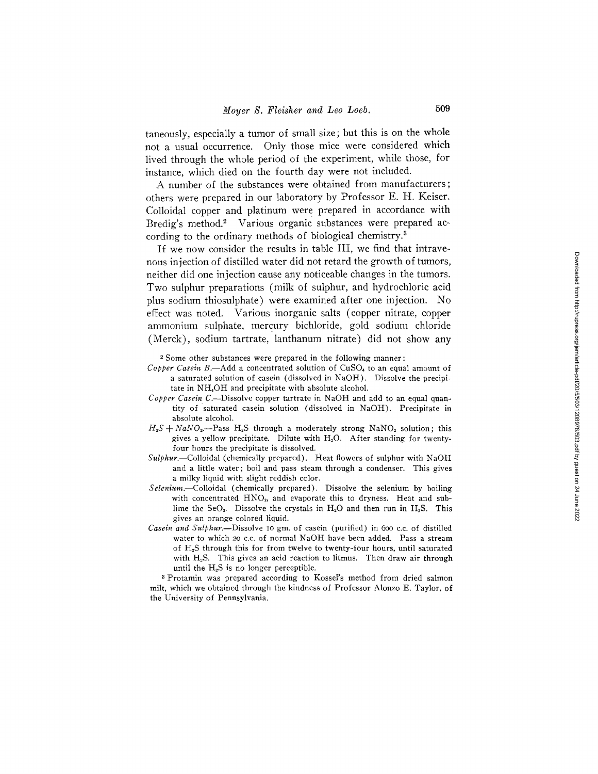taneously, especially a tumor of small size; but this is on the whole not a usual occurrence. Only those mice were considered which lived through the whole period of the experiment, while those, for instance, which died on the fourth day were not included.

A number of the substances were obtained from manufacturers; others were prepared in our laboratory by Professor E. H. Keiser. Colloidal copper and platinum were prepared in accordance with Bredig's method.<sup>2</sup> Various organic substances were prepared according to the ordinary methods of biological chemistry.<sup>3</sup>

If we now consider the results in table III, we find that intravenous injection of distilled water did not retard the growth of tumors, neither did one injection cause any noticeable changes in the tumors. Two sulphur preparations (milk of sulphur, and hydrochloric acid plus sodium thiosulphate) were examined after one injection. No effect was noted. Various inorganic salts (copper nitrate, copper ammonium sulphate, mercury bichloride, gold sodium chloride (Merck), sodium tartrate, lanthanum nitrate) did not show any

2 Some other substances were prepared in the following manner :

- *Copper Casein B.*--Add a concentrated solution of CuSO<sub>4</sub> to an equal amount of a saturated solution of casein (dissolved in NaOH). Dissolve the precipitate in NH40H and precipitate with absolute alcohol.
- *Copper Casein C.*--Dissolve copper tartrate in NaOH and add to an equal quantity of saturated casein solution (dissolved in NaOH). Precipitate in absolute alcohol.
- $H_2S+NaNO_2$ .--Pass  $H_2S$  through a moderately strong NaNO<sub>2</sub> solution; this gives a yellow precipitate. Dilute with  $H_2O$ . After standing for twentyfour hours the precipitate is dissolved.
- *Sulphur.--Colloidal* (chemically prepared). Heat flowers of sulphur with NaOH and a little water; boil and pass steam through a condenser. This gives a milky liquid with slight reddish color.
- *Selenium.--Colloidal* (chemically prepared). Dissolve the selenium by boiling with concentrated  $HNO<sub>8</sub>$ , and evaporate this to dryness. Heat and sublime the SeO<sub>2</sub>. Dissolve the crystals in H<sub>2</sub>O and then run in H<sub>2</sub>S. This gives an orange colored liquid.
- *Casein and Sulphur.--Dissolve* IO gm. of casein (purified) in 600 c.e. of distilled water to which 20 c.c. of normal NaOH have been added. Pass a stream of H2S through this for from twelve to twenty-four hours, until saturated with  $H<sub>2</sub>S$ . This gives an acid reaction to litmus. Then draw air through until the  $H<sub>2</sub>S$  is no longer perceptible.

<sup>3</sup> Protamin was prepared according to Kossel's method from dried salmon milt, which we obtained through the kindness of Professor Alonzo E. Taylor, of the University of Pennsylvania.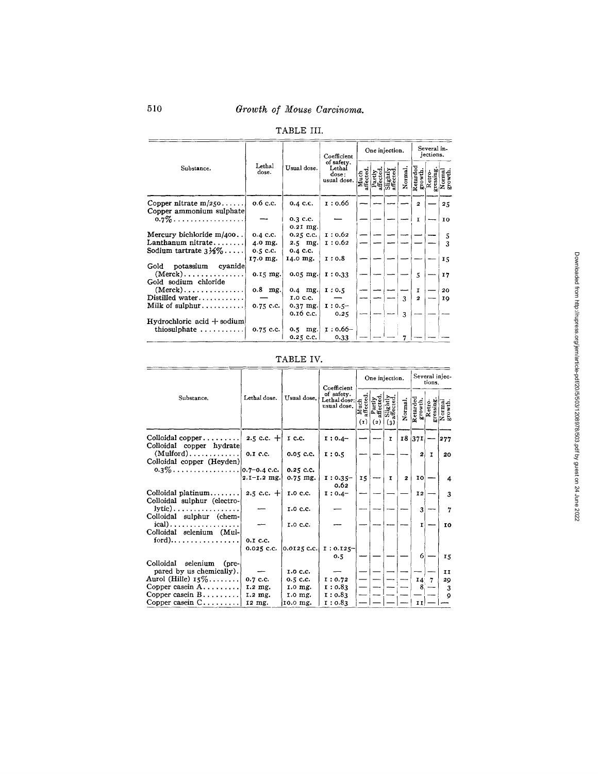510

 $\equiv$ 

|                                                    |                 |                          | Coefficient                                  |                  |        | One injection.                   |        |                         | Several in-<br>jections. |                   |
|----------------------------------------------------|-----------------|--------------------------|----------------------------------------------|------------------|--------|----------------------------------|--------|-------------------------|--------------------------|-------------------|
| Substance.                                         | Lethal<br>dose. | Usual dose.              | of safety.<br>Lethal<br>dose:<br>usual dose. | affected<br>Much | Partly | affected<br>Slightly<br>affected | Normal | Retarded<br>growth.     | guessing<br>Retro-       | Normal<br>growth. |
| Copper nitrate $m/250$<br>Copper ammonium sulphate | $0.6$ c.c.      | $0.4$ C.C.               | x: 0.66                                      |                  |        |                                  |        | $\overline{\mathbf{z}}$ |                          | 25                |
| $0.7\%$                                            |                 | $0.3$ C.C.<br>$0.21$ mg. |                                              |                  |        |                                  |        | $\mathbf{I}$            |                          | IΟ                |
| Mercury bichloride $m/400$                         | $0.4$ c.c.      | $0.25$ C.C.              | 1:0.62                                       |                  |        |                                  |        |                         |                          | 5                 |
| Lanthanum nitrate                                  | 4.0 mg.         | $2.5$ mg.                | 1:0.62                                       |                  |        |                                  |        |                         |                          | 3                 |
| Sodium tartrate $3\frac{1}{2}\%$                   | 0.5 C.          | $0.4 \, C.C.$            |                                              |                  |        |                                  |        |                         |                          |                   |
|                                                    | 17.0 mg.        | 14.0 mg.                 | t:0.8                                        |                  |        |                                  |        |                         |                          | 15                |
| Gold potassium cyanide                             |                 |                          |                                              |                  |        |                                  |        |                         |                          |                   |
| $(Merck) \ldots \ldots \ldots \ldots$              | $0.15$ mg.      | $0.05 \, \text{mg}$ .    | I: 0.33                                      |                  |        |                                  |        | 5                       |                          | 17                |
| Gold sodium chloride                               |                 |                          |                                              |                  |        |                                  |        |                         |                          |                   |
| $(Merck) \ldots \ldots \ldots$                     | $0.8$ mg.       | $0.4$ mg.                | I: 0.5                                       |                  |        |                                  |        | 1                       |                          | 20                |
| Distilled water                                    |                 | 1.0 C.C.                 |                                              |                  |        |                                  | 3      | 2                       |                          | IQ                |
| Milk of sulphur                                    | 0.75 c.c.       | $0.37$ mg.               | $I: 0.5 -$                                   |                  |        |                                  |        |                         |                          |                   |
|                                                    |                 | $0.16$ c.c.              | 0.25                                         |                  |        |                                  | 3      |                         |                          |                   |
| Hydrochloric acid $+$ sodium                       |                 |                          |                                              |                  |        |                                  |        |                         |                          |                   |
| thiosulphate $\dots \dots$                         | 0.75 c.c.       |                          | 0.5 mg. $\vert$ 1 : 0.66-                    |                  |        |                                  |        |                         |                          |                   |
|                                                    |                 | $0.25$ c.c.              | 0.33                                         |                  |        |                                  |        |                         |                          |                   |

TABLE III.

|            |                                                                                                                                                 | TABLE IV. |  |
|------------|-------------------------------------------------------------------------------------------------------------------------------------------------|-----------|--|
|            |                                                                                                                                                 |           |  |
| Substance. | Lethal dose. Usual dose. $\begin{bmatrix} Coefficient \\ of safety. \\ Lethal dose: \begin{bmatrix} a & b \\ b & d \end{bmatrix} \end{bmatrix}$ |           |  |

|                                                                      |                   |             | Coefficient                                                                                                                                                                                                                                                                                                               |                |                   | One injection. |              |              | tions.         | Several injec-                                                         |
|----------------------------------------------------------------------|-------------------|-------------|---------------------------------------------------------------------------------------------------------------------------------------------------------------------------------------------------------------------------------------------------------------------------------------------------------------------------|----------------|-------------------|----------------|--------------|--------------|----------------|------------------------------------------------------------------------|
| Substance.                                                           | Lethal dose.      | Usual dose. | Common<br>Lethal dose:<br>Lethal dose:<br>usual dose:<br>$\begin{bmatrix} 1 & 1 & 1 \\ 1 & 1 & 1 \\ 1 & 1 & 1 \\ 1 & 1 & 1 \\ 1 & 1 & 1 \\ 1 & 1 & 1 \\ 1 & 1 & 1 \\ 1 & 1 & 1 \\ 1 & 1 & 1 \\ 1 & 1 & 1 \\ 1 & 1 & 1 \\ 1 & 1 & 1 \\ 1 & 1 & 1 \\ 1 & 1 & 1 \\ 1 & 1 & 1 \\ 1 & 1 & 1 \\ 1 & 1 & 1 \\ 1 & 1 & 1 \\ 1 & $ | $(\mathbf{r})$ | $\left( 2\right)$ | $\overline{3}$ | Normal.      |              |                | Retarded<br>Rowth<br>Retro-<br>Rossing,<br>Normal<br>Normal<br>growth. |
| $\text{Colloidal copper}\dots\dots\dots$<br>Colloidal copper hydrate | 2.5 c.c. $+$      | $I$ c.c.    | $I: 0.4-$                                                                                                                                                                                                                                                                                                                 |                |                   | T.             |              | I8 371       |                | 277                                                                    |
| $(Mulford)$<br>Colloidal copper (Heyden)                             | 0.1 c.c.          | 0.05 c.c.   | 1:0.5                                                                                                                                                                                                                                                                                                                     |                |                   |                |              | $\mathbf{2}$ | $\mathbf{r}$   | 20                                                                     |
| $0.3\%$                                                              | $ 0.7 - 0.4$ c.c. | $0.25$ c.c. |                                                                                                                                                                                                                                                                                                                           |                |                   |                |              |              |                |                                                                        |
|                                                                      | $2.I-I.2$ mg.     | $0.75$ mg.  | $I: 0.35 -$<br>0.62                                                                                                                                                                                                                                                                                                       | 15             |                   | I.             | $\mathbf{z}$ | ΙO           |                | 4                                                                      |
| Colloidal platinum  2.5 c.c. $+$  <br>Colloidal sulphur (electro-    |                   | 1.0 c.c.    | $I: 0.4-$                                                                                                                                                                                                                                                                                                                 |                |                   |                |              | 12           |                | 3                                                                      |
| $1$ ytic)<br>Colloidal sulphur (chem-                                |                   | 1.0 c.c.    |                                                                                                                                                                                                                                                                                                                           |                |                   |                |              | 3            |                | 7                                                                      |
| $ical)$<br>Colloidal selenium (Mul-                                  |                   | 1.0 c.c.    |                                                                                                                                                                                                                                                                                                                           |                |                   |                |              |              |                | IO.                                                                    |
| $ford)$                                                              | 0.1 c.c.          |             |                                                                                                                                                                                                                                                                                                                           |                |                   |                |              |              |                |                                                                        |
|                                                                      | $0.025$ C.C.      |             | $ 0.0125$ C.C. $ 1:0.125-$<br>0.5                                                                                                                                                                                                                                                                                         |                |                   |                |              | 6            |                | 15                                                                     |
| Colloidal selenium<br>$($ <sub>Dre-</sub> $ $                        |                   |             |                                                                                                                                                                                                                                                                                                                           |                |                   |                |              |              |                |                                                                        |
| pared by us chemically).                                             |                   | 1.0 c.c.    |                                                                                                                                                                                                                                                                                                                           |                |                   |                |              |              |                | IJ                                                                     |
| Aurol (Hille) 15 $\% \ldots \ldots$ .                                | 0.7 c.c.          | $0.5$ c.c.  | 1:0.72                                                                                                                                                                                                                                                                                                                    |                |                   |                |              | 14           | $\overline{7}$ | 29                                                                     |
| $\text{Copper case}$ in A                                            | 1.2 mg.           | $1.0$ mg.   | I: 0.83                                                                                                                                                                                                                                                                                                                   |                |                   |                |              |              |                | 3                                                                      |
| $\text{Copper case}$ in $\text{B} \ldots \ldots$                     | 1.2 mg.           | 1.0 mg.     | 1:0.83                                                                                                                                                                                                                                                                                                                    |                |                   |                |              |              |                | 9                                                                      |
| Copper casein C.                                                     | 12 mg.            | 10.0 mg.    | 1:0.83                                                                                                                                                                                                                                                                                                                    |                |                   |                |              | II           |                |                                                                        |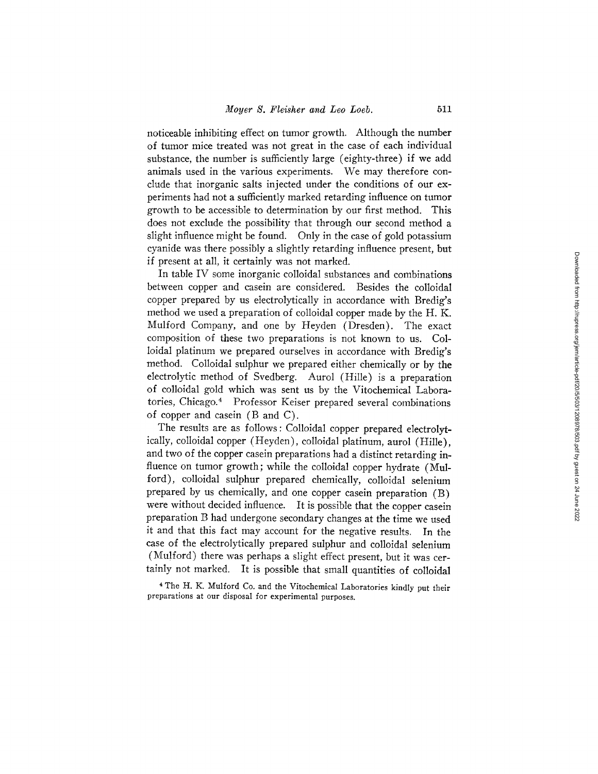noticeable inhibiting effect on tumor growth. Although the number of tumor mice treated was not great in the case of each individual substance, the number is sufficiently large (eighty-three) if we add animals used in the various experiments. We may therefore conclude that inorganic salts injected under the conditions of our experiments had not a sufficiently marked retarding influence on tumor growth to be accessible to determination by our first method. This does not exclude the possibility that through our second method a slight influence might be found. Only in the case of gold potassium cyanide was there possibly a slightly retarding influence present, but if present at all, it certainly was not marked.

In table IV some inorganic colloidal substances and combinations between copper and casein are considered. Besides the colloidal copper prepared by us electrolytically in accordance with Bredig's method we used a preparation of colloidal copper made by the H.K. Mulford Company, and one by Heyden (Dresden). The exact composition of these two preparations is not known to us. Colloidal platinum we prepared ourselves in accordance with Bredig's method. Colloidal sulphur we prepared either chemically or by the electrolytic method of Svedberg. Aurol (Hille) is a preparation of colloidal gold which was sent us by the Vitochemical Laboratories, Chicago.<sup>4</sup> Professor Keiser prepared several combinations of copper and casein (B and C).

The results are as follows: Colloidal copper prepared electrolytically, colloidal copper (Heyden), colloidal platinum, aurol (Hille), and two of the copper casein preparations had a distinct retarding influence on tumor growth; while the colloidal copper hydrate (Mulford), colloidal sulphur prepared chemically, colloidal selenium prepared by us chemically, and one copper casein preparation (B) were without decided influence. It is possible that the copper casein preparation B had undergone secondary changes at the time we used it and that this fact may account for the negative results. In the case of the electrolytically prepared sulphur and colloidal selenium (Mu!ford) there was perhaps a slight effect present, but it was certainly not marked. It is possible that small quantities of colloidal

4 The H. K. Mulford Co. and the Vitochemical Laboratories kindly put their preparations at our disposal for experimental purposes.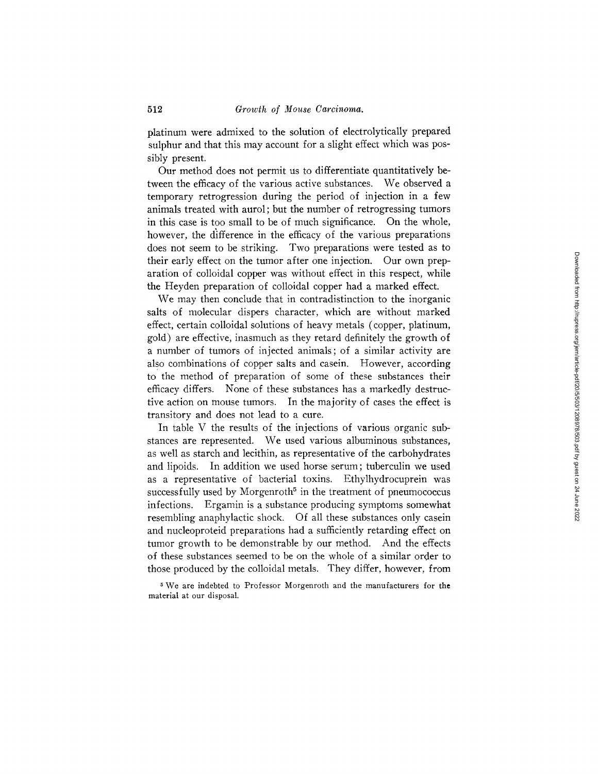platinum were admixed to the solution of dectrolytically prepared sulphur and that this may account for a slight effect which was possibly present.

Our method does not permit us to differentiate quantitatively between the efficacy of the various active substances. We observed a temporary retrogression during the period of injection in a few animals treated with aurol; but the number of retrogressing tumors in this case is too small to be of much significance. On the whole, however, the difference in the efficacy of the various preparations does not seem to be striking. Two preparations were tested as to their early effect on the tumor after one injection. Our own preparation of colloidal copper was without effect in this respect, while the Heyden preparation of colloidal copper had a marked effect.

We may then conclude that in contradistinction to the inorganic salts of molecular dispers character, which are without marked effect, certain colloidal solutions of heavy metals (copper, platinum, gold) are effective, inasmuch as they retard definitely the growth of a number of tumors of injected animals; of a similar activity are also combinations of copper salts and casein. However, according to the method of preparation of some of these substances their efficacy differs. None of these substances has a markedly destructive action on mouse tumors. In the majority of cases the effect is transitory and does not lead to a cure.

In table V the results of the injections of various organic substances are represented. We used various albuminous substances, as well as starch and lecithin, as representative of the carbohydrates and lipoids. In addition we used horse serum; tuberculin we used as a representative of bacterial toxins. Ethylhydrocuprein was successfully used by Morgenroth<sup> $5$ </sup> in the treatment of pneumococcus infections. Ergamin is a substance producing symptoms somewhat resembling anaphylactic shock. Of all these substances only casein and nucleoproteid preparations had a sufficiently retarding effect on tumor growth to be demonstrable by our method. And the effects of these substances seemed to be on the whole of a similar order to those produced by the colloidal metals. They differ, however, from

5 We are indebted to Professor Morgenroth and the manufacturers for the material at our disposal.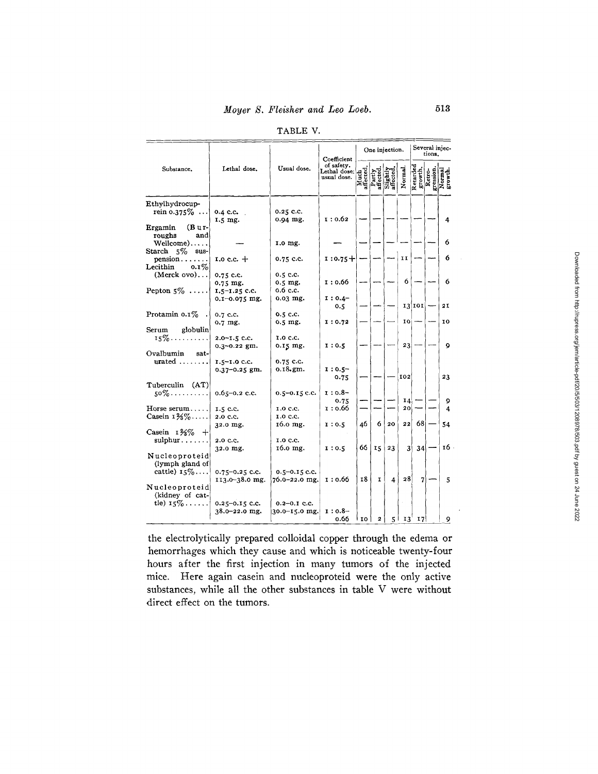|                           |                    |                   | Coefficient                               |           |                 | One injection.                                                      |                 |        | Several injec-<br>tions. |                                                                 |
|---------------------------|--------------------|-------------------|-------------------------------------------|-----------|-----------------|---------------------------------------------------------------------|-----------------|--------|--------------------------|-----------------------------------------------------------------|
| Substance.                | Lethal dose.       | Usual dose.       | of safety.<br>Lethal dose:<br>usual dose. |           |                 | Much<br>affected.<br>affected.<br>affected.<br>sightly<br>affected. | Normal.         |        |                          | Retarded<br>growth,<br>Retro-<br>gression,<br>Normal<br>growth, |
| Ethylhydrocup-            |                    |                   |                                           |           |                 |                                                                     |                 |        |                          |                                                                 |
| rein 0.375%               | $0.4 \, C.C.$      | $0.25$ c.c.       |                                           |           |                 |                                                                     |                 |        |                          |                                                                 |
|                           | 1.5 mg.            | 0.94 mg.          | 1:0.62                                    |           |                 |                                                                     |                 |        |                          | 4                                                               |
| Ergamin<br>(Bur-          |                    |                   |                                           |           |                 |                                                                     |                 |        |                          |                                                                 |
| roughs<br>and             |                    |                   |                                           |           |                 |                                                                     |                 |        |                          |                                                                 |
| Wellcome)                 |                    | 1.0 mg.           |                                           |           |                 |                                                                     |                 |        |                          | 6                                                               |
| Starch 5% sus-            |                    |                   |                                           |           |                 |                                                                     |                 |        |                          |                                                                 |
| $pension \dots \dots$     | $1.0 c.c. +$       | 0.75 c.c.         | $1:0.75+$                                 |           |                 |                                                                     | II              |        |                          | 6                                                               |
| Lecithin<br>$0.1\%$       |                    |                   |                                           |           |                 |                                                                     |                 |        |                          |                                                                 |
| $(Merck ovo) \dots$       | $0.75$ c.c.        | 0.5c.c.           |                                           |           |                 |                                                                     |                 |        |                          |                                                                 |
|                           | 0.75 mg.           | 0.5 mg.           | 1:0.66                                    |           |                 |                                                                     | 6               |        |                          | 6                                                               |
| Pepton $5\% \ldots$ .     | $1.5 - 1.25$ c.c.  | 0.6 c.c.          |                                           |           |                 |                                                                     |                 |        |                          |                                                                 |
|                           | $0.1 - 0.075$ mg.  | 0.03 mg.          | $1:0.4-$                                  |           |                 |                                                                     |                 |        |                          |                                                                 |
|                           |                    |                   | 0.5                                       |           |                 |                                                                     |                 | 13 101 |                          | 21                                                              |
| Protamin $0.1\%$ .        | 0.7 c.c.           | 0.5 c.c.          |                                           |           |                 |                                                                     |                 |        |                          |                                                                 |
|                           | 0.7 mg.            | $0.5$ mg.         | 1:0.72                                    |           |                 |                                                                     | IOİ             |        |                          | 10                                                              |
| Serum<br>globulin         |                    |                   |                                           |           |                 |                                                                     |                 |        |                          |                                                                 |
| $15\% \ldots \ldots$      | $2.0 - 1.5$ C.C.   | 1.0 c.c.          |                                           |           |                 |                                                                     |                 |        |                          |                                                                 |
|                           | $0.3 - 0.22$ gm.   | 0.15 mg.          | 1:0.5                                     |           |                 |                                                                     | 23 <sup>1</sup> |        |                          | $\mathbf Q$                                                     |
| Ovalbumin<br>$sat-$       |                    |                   |                                           |           |                 |                                                                     |                 |        |                          |                                                                 |
| urated                    | $1.5 - 1.0$ c.c.   | 0.75 C.C.         |                                           |           |                 |                                                                     |                 |        |                          |                                                                 |
|                           | $0.37 - 0.25$ gm.  | 0.18.gm.          | $1:0.5-$                                  |           |                 |                                                                     |                 |        |                          |                                                                 |
|                           |                    |                   | 0.75                                      |           |                 |                                                                     | 102             |        |                          | 23                                                              |
| Tuberculin (AT)           |                    |                   |                                           |           |                 |                                                                     |                 |        |                          |                                                                 |
| $50\% \ldots \ldots$      | $0.65 - 0.2$ c.c.  | $0.5 - 0.15$ c.c. | $1:0.8-$                                  |           |                 |                                                                     |                 |        |                          |                                                                 |
|                           |                    |                   | 0.75                                      |           |                 |                                                                     | 14              |        |                          | 9                                                               |
| Horse serum               | 1.5 c.c.           | 1.0 c.c.          | 1:0.66                                    |           |                 |                                                                     | 20              |        |                          | 4                                                               |
| Casein $1\frac{2}{3}\%$   | 2.0 c.c.           | 1.0 c.c.          |                                           |           |                 |                                                                     |                 |        |                          |                                                                 |
|                           | 32.0 mg.           | 16.0 mg.          | 1:0.5                                     | 46        | 6               | 20                                                                  | 22              | 68     |                          | 54                                                              |
| Casein $1\frac{2}{3}\%$ + |                    |                   |                                           |           |                 |                                                                     |                 |        |                          |                                                                 |
| $\text{subbur.} \ldots$ . | 2.0 C.C.           | 1.0 c.c.          |                                           |           |                 |                                                                     |                 |        |                          |                                                                 |
|                           | 32.0 mg.           | 16.0 mg.          | 1:0.5                                     | 66        | 15 <sub>1</sub> | 23                                                                  | 31              | 34     |                          | 16.                                                             |
| Nucleoproteid             |                    |                   |                                           |           |                 |                                                                     |                 |        |                          |                                                                 |
| (lymph gland of           |                    |                   |                                           |           |                 |                                                                     |                 |        |                          |                                                                 |
| cattle) $15\% \ldots$     | $0.75 - 0.25$ c.c. | $0.5 - 0.15$ c.c. |                                           |           |                 |                                                                     |                 |        |                          |                                                                 |
|                           | 113.0-38.0 mg.     | 76.0-22.0 mg.     | 1:0.66                                    | <b>18</b> | $\mathbf{I}$    | $\overline{\mathbf{A}}$                                             | 28              | 71     |                          | 5                                                               |
| Nucleoproteid             |                    |                   |                                           |           |                 |                                                                     |                 |        |                          |                                                                 |
| (kidney of cat-           |                    |                   |                                           |           |                 |                                                                     |                 |        |                          |                                                                 |
| tle) $15\% \ldots$ .      | $0.25 - 0.15$ c.c. | $0.2 - 0.1$ c.c.  |                                           |           |                 |                                                                     |                 |        |                          |                                                                 |
|                           | 38.0-22.0 mg.      | 30.0–15.0 mg.     | $1:0.8-$                                  |           |                 |                                                                     |                 |        |                          |                                                                 |
|                           |                    |                   | 0.66                                      | † 10      | $\mathbf{2}$    |                                                                     | $5 \mid 13$     | 17     |                          | ٥                                                               |

TABLE V.

the electrolytically prepared colloidal copper through the edema or hemorrhages which they cause and which is noticeable twenty-four hours after the first injection in many tumors of the injected mice. Here again casein and nucleoproteid were the only active substances, while all the other substances in table V were without direct effect on the tumors.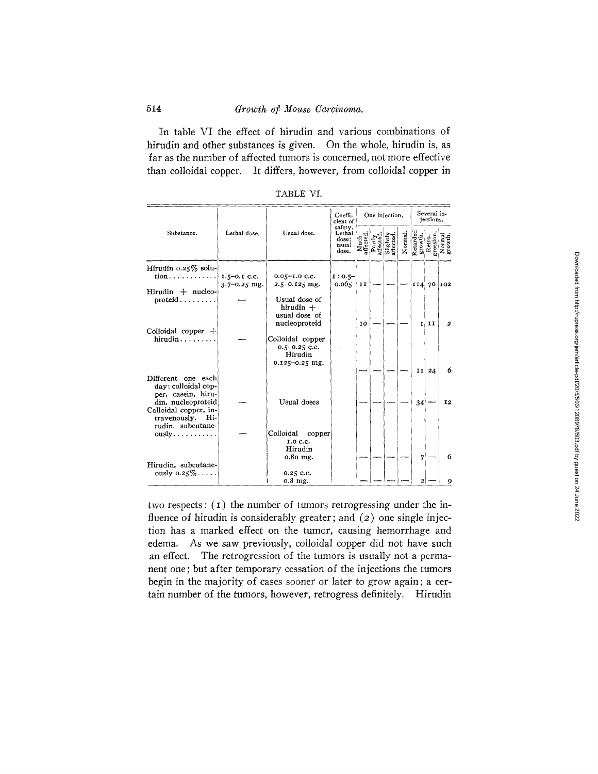In table VI the effect of hirudin and various combinations of hirudin and other substances is given. On the whole, hirudin is, as far as the number of affected tumors is concerned, not more effective than colloidal copper. It differs, however, from colloidal copper in

|  | TABLE VI. |
|--|-----------|
|  |           |

|                                                                                         |                  |                                               | Coeffi-<br>cient of                          |    | One injection.                                                  |         |                                            | Several in-<br>jections. |                   |
|-----------------------------------------------------------------------------------------|------------------|-----------------------------------------------|----------------------------------------------|----|-----------------------------------------------------------------|---------|--------------------------------------------|--------------------------|-------------------|
| Substance.                                                                              | Lethal dose.     | Usual dose.                                   | safety.<br>Lethal<br>dose:<br>usual<br>dose. |    | Much<br>affected,<br>Partly<br>slightly<br>Slightly<br>diected, | Normal. | Retarded<br>growth.<br>Retro-<br>gression. |                          | Normal<br>growth. |
| Hirudin 0.25% solu-                                                                     |                  |                                               |                                              |    |                                                                 |         |                                            |                          |                   |
| $tion \dots \dots \dots \dots$                                                          | 1.5-0.1 c.c.     | $0.05 - 1.0$ c.c.                             | $1:0.5-$                                     |    |                                                                 |         |                                            |                          |                   |
|                                                                                         | $3.7 - 0.25$ mg. | $2.5 - 0.125$ mg.                             | 0.065                                        | IJ |                                                                 |         |                                            |                          | $114$ 70 102      |
| $Hirudin + nucleo-$<br>$protein \ldots \ldots$                                          |                  | Usual dose of<br>hirudin $+$<br>usual dose of |                                              |    |                                                                 |         |                                            |                          |                   |
|                                                                                         |                  | nucleoproteid                                 |                                              | I0 |                                                                 |         |                                            | 1.11                     | 2                 |
| Colloidal copper $+$<br>hirudin                                                         |                  | Colloidal copper<br>$0.5 - 0.25$ c.c.         |                                              |    |                                                                 |         |                                            |                          |                   |
|                                                                                         |                  | Hirudin                                       |                                              |    |                                                                 |         |                                            |                          |                   |
|                                                                                         |                  | $0.125 - 0.25$ mg.                            |                                              |    |                                                                 |         |                                            |                          |                   |
| Different one each<br>day: colloidal cop-<br>per, casein, hiru-                         |                  |                                               |                                              |    |                                                                 |         | IJ                                         | 24                       | 6                 |
| din, nucleoproteid<br>Colloidal copper, in-<br>travenously.<br>Hi-<br>rudin, subcutane- |                  | Usual doses                                   |                                              |    |                                                                 |         | 34                                         |                          | <b>I2</b>         |
| $ously \ldots \ldots \ldots$                                                            |                  | Colloidal<br>copper                           |                                              |    |                                                                 |         |                                            |                          |                   |
|                                                                                         |                  | 1.0 c.c.                                      |                                              |    |                                                                 |         |                                            |                          |                   |
|                                                                                         |                  | Hirudin                                       |                                              |    |                                                                 |         |                                            |                          |                   |
|                                                                                         |                  | 0.80 mg.                                      |                                              |    |                                                                 |         |                                            |                          | 6                 |
| Hirudin, subcutane-                                                                     |                  |                                               |                                              |    |                                                                 |         |                                            |                          |                   |
| ously $0.25\% \ldots$ .                                                                 |                  | $0.25$ c.c.                                   |                                              |    |                                                                 |         | 2                                          |                          |                   |
|                                                                                         |                  | $0.8$ mg.                                     |                                              |    |                                                                 |         |                                            |                          | 9                 |

two respects: (I) the number of tumors retrogressing under the influence of hirudin is considerably greater; and  $(2)$  one single injection has a marked effect on the tumor, causing hemorrhage and edema. As we saw previously, colloidal copper did not have such an effect. The retrogression of the tumors is usually not a permanent one; but after temporary cessation of the injections the tumors begin in the majority of cases sooner or later to grow again; a certain number of the tumors, however, retrogress definitely. Hirudin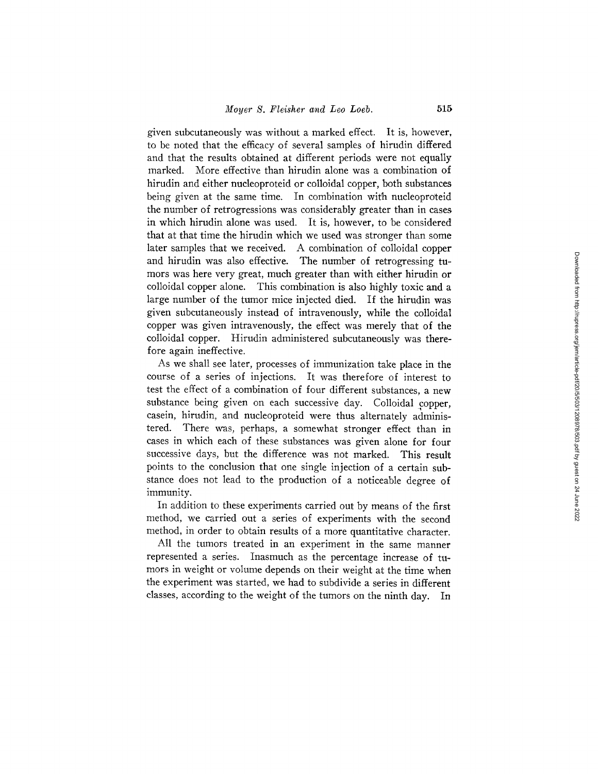given subcutaneously was without a marked effect. It is, however, to be noted that the efficacy of several samples of hirudin differed and that the results obtained at different periods were not equally marked. More effective than hirudin alone was a combination of hirudin and either nucleoproteid or colloidal copper, both substances being given at the same time. In combination with nucleoproteid the number of retrogressions was considerably greater than in cases in which hirudin alone was used. It is, however, to be considered that at that time the hirudin which we used was stronger than some later samples that we received. A combination of colloidal copper and hirudin was also effective. The number of retrogressing tumors was here very great, much greater than with either hirudin or colloidal copper alone. This combination is also highly toxic and a large number of the tumor mice injected died. If the hirudin was given subcutaneously instead of intravenously, while the colloidal copper was given intravenously, the effect was merely that of the colloidal copper. Hirudin administered subcutaneously was therefore again ineffective.

As we shall see later, processes of immunization take place in the course of a series of injections. It was therefore of interest to test the effect of a combination of four different substances, a new substance being given on each successive day. Colloidal copper, casein, hirudin, and nucleoproteid were thus alternately administered. There was, perhaps, a somewhat stronger effect than in cases in which each of these substances was given alone for four successive days, but the difference was not marked. This result points to the conclusion that one single injection of a certain substance does not lead to the production of a noticeable degree of immunity.

In addition to these experiments carried out by means of the first method, we carried out a series of experiments with the second method, in order to obtain results of a more quantitative character.

All the tumors treated in an experiment in the same manner represented a series. Inasmuch as the percentage increase of tumors in weight or volume depends on their weight at the time when the experiment was started, we had to subdivide a series in different classes, according to the weight of the tumors on the ninth day. In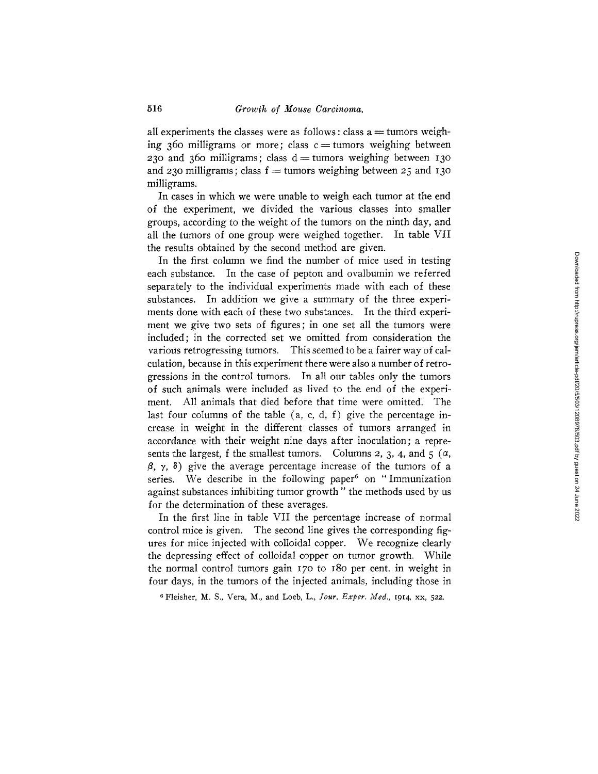all experiments the classes were as follows: class  $a =$  tumors weighing 360 milligrams or more; class  $c =$  tumors weighing between 230 and 360 milligrams; class  $d=$  tumors weighing between 130 and 230 milligrams; class  $f =$  tumors weighing between 25 and 130 milligrams.

In cases in which we were unable to weigh each tumor at the end of the experiment, we divided the various classes into smaller groups, according to the weight of the tumors on the ninth day, and all the tumors of one group were weighed together. In table VII the results obtained by the second method are given.

In the first column we find the number of mice used in testing each substance. In the case of pepton and ovalbumin we referred separately to the individual experiments made with each of these substances. In addition we give a summary of the three experiments done with each of these two substances. In the third experiment we give two sets of figures; in one set all the tumors were included; in the corrected set we omitted from consideration the various retrogressing tumors. This seemed to be a fairer way of calculation, because in this experiment there were also a number of retrogressions in the control tumors. In all our tables only the tumors of such animals were included as lived to the end of the experiment. All animals that died before that time were omitted. The last four columns of the table  $(a, c, d, f)$  give the percentage increase in weight in the different classes of tumors arranged in accordance with their weight nine days after inoculation; a represents the largest, f the smallest tumors. Columns 2, 3, 4, and 5 ( $\alpha$ ,  $\beta$ ,  $\gamma$ ,  $\delta$ ) give the average percentage increase of the tumors of a series. We describe in the following paper $6$  on "Immunization against substances inhibiting tumor growth" the methods used by us for the determination of these averages.

In the first line in table VII the percentage increase of normal control mice is given. The second line gives the corresponding figures for mice injected with colloidal copper. We recognize clearly the depressing effect of colloidal copper on tumor growth. While the normal control tumors gain I7o to I8o per cent. in weight in four days, in the tumors of the injected animals, including those in

6 Fleisher, M. S., Vera, M., and Loeb, L., *Jour. Exper. Med.,* 1914, xx, 522.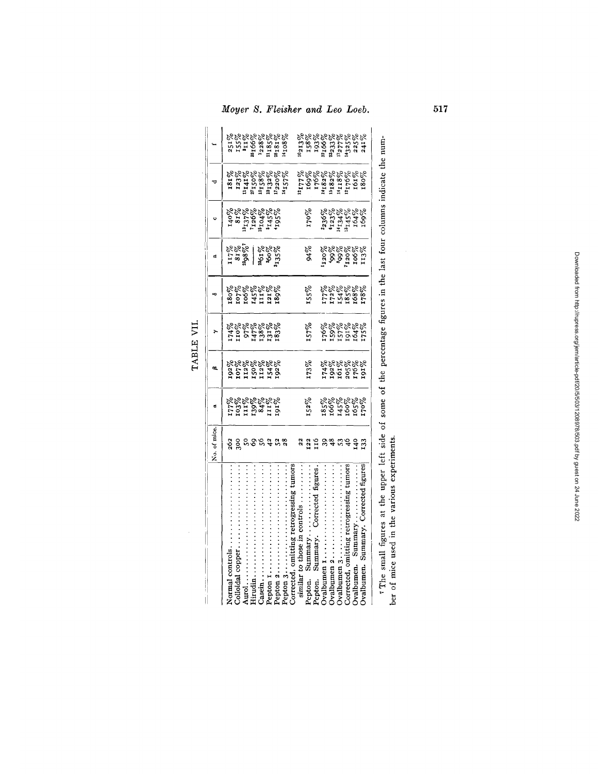*Moyer 8. Pleisher and Leo Loeb.* **517** 

|                                         | of mice<br>ź | B                                  | æ                             |                               |                              | m.                                                                                                                                                                                                                                                                                                          |                                          |                                                                                             |                                          |
|-----------------------------------------|--------------|------------------------------------|-------------------------------|-------------------------------|------------------------------|-------------------------------------------------------------------------------------------------------------------------------------------------------------------------------------------------------------------------------------------------------------------------------------------------------------|------------------------------------------|---------------------------------------------------------------------------------------------|------------------------------------------|
| Normal controls                         | 202          |                                    |                               |                               |                              |                                                                                                                                                                                                                                                                                                             |                                          |                                                                                             |                                          |
| coppe<br>Colloida                       |              |                                    |                               |                               |                              |                                                                                                                                                                                                                                                                                                             |                                          |                                                                                             |                                          |
| Aurol.                                  |              |                                    |                               |                               |                              |                                                                                                                                                                                                                                                                                                             |                                          |                                                                                             |                                          |
| Hirudin                                 |              |                                    |                               |                               |                              |                                                                                                                                                                                                                                                                                                             |                                          |                                                                                             |                                          |
| Casein.                                 |              |                                    |                               |                               |                              |                                                                                                                                                                                                                                                                                                             |                                          |                                                                                             |                                          |
|                                         |              |                                    |                               |                               |                              |                                                                                                                                                                                                                                                                                                             |                                          |                                                                                             |                                          |
| Pepton 1.<br>Pepton 2.                  | 8888488      | 225522552<br>225522555<br>22552555 | 2222222<br>2222223<br>22222   | 2222222<br>22222222<br>222222 | 8888888<br>8898888<br>889888 | $\begin{array}{l} 2651 \\ 2698 \\ 2698 \\ 2698 \\ 2619 \\ 26111 \\ 26111 \\ 26111 \\ 26111 \\ 2711 \\ 28111 \\ 28111 \\ 29111 \\ 20211 \\ 2131 \\ 2031 \\ 20411 \\ 2131 \\ 2051 \\ 2051 \\ 2051 \\ 2051 \\ 2051 \\ 2051 \\ 2051 \\ 2051 \\ 2051 \\ 2051 \\ 2051 \\ 2051 \\ 2051 \\ 2051 \\ 2051 \\ 2051 \\$ | 2257<br>555575758<br>20575758<br>2058888 |                                                                                             |                                          |
| Pepton 3                                |              |                                    |                               |                               |                              |                                                                                                                                                                                                                                                                                                             |                                          |                                                                                             |                                          |
| omitting retrogressing<br>Corrected     |              |                                    |                               |                               |                              |                                                                                                                                                                                                                                                                                                             |                                          |                                                                                             |                                          |
| to those in controls<br>similar         |              |                                    |                               |                               |                              |                                                                                                                                                                                                                                                                                                             |                                          |                                                                                             |                                          |
| Summary<br>Pepton                       | $^{122}$     | 52%                                | $73\%$                        | 157%                          | $155\%$                      | <b>94%</b>                                                                                                                                                                                                                                                                                                  | Poli                                     |                                                                                             |                                          |
| Corrected<br>Summary.<br>Pepton         | Ě            |                                    |                               |                               |                              |                                                                                                                                                                                                                                                                                                             |                                          |                                                                                             |                                          |
| Ovalbumen                               |              |                                    |                               |                               |                              |                                                                                                                                                                                                                                                                                                             |                                          |                                                                                             |                                          |
| Ovalbumen <sub>2</sub>                  |              |                                    |                               |                               |                              |                                                                                                                                                                                                                                                                                                             |                                          |                                                                                             |                                          |
| Ovalbumen                               |              |                                    |                               |                               |                              |                                                                                                                                                                                                                                                                                                             |                                          |                                                                                             |                                          |
| omitting retrogressing 1<br>Corrected,  |              |                                    |                               |                               |                              |                                                                                                                                                                                                                                                                                                             |                                          |                                                                                             |                                          |
| Summary<br>Ovalbumen                    |              |                                    |                               |                               |                              |                                                                                                                                                                                                                                                                                                             |                                          |                                                                                             |                                          |
| Summary. Corrected figure.<br>Ovalbumen | 2445         | 222225<br>22225<br>2222            | 7292888<br>72928888<br>728888 | 222222<br>222222<br>2222      | 222222<br>22222<br>2222      | 22<br>2222<br>2222<br>2222                                                                                                                                                                                                                                                                                  |                                          | 2008<br>2007 11 12 12 13 14 15 16 17<br>2008 12 13 14 15 16 17<br>2008 12 14 15 17 18 17 18 | 88888888888<br>1389855884<br>88888888888 |

TABLE VII.

 $\overline{\phantom{a}}$ 

**2**  "0 **o**  b~ **& i**  ¢~'~  $\bullet$  .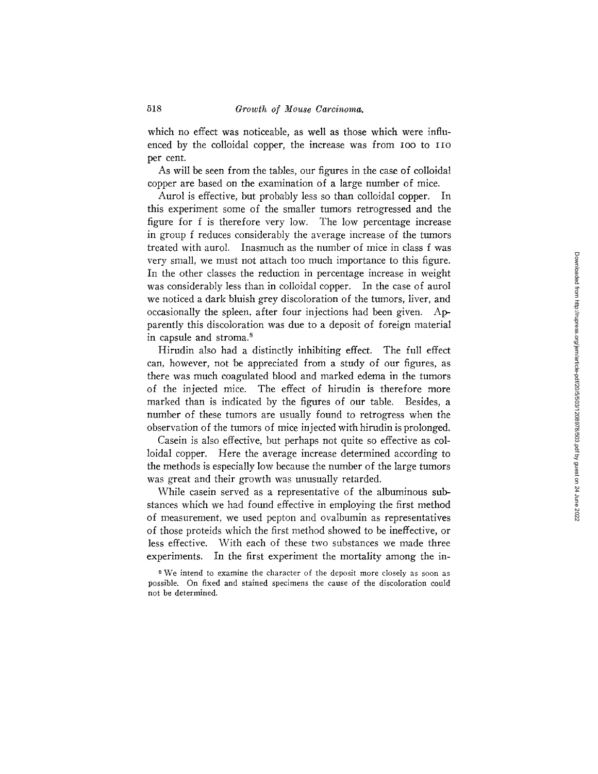which no effect was noticeable, as well as those which were influenced by the colloidal copper, the increase was from IOO to IiO per cent.

As will be seen from the tables, our figures in the case of colloidal copper are based on the examination of a large number of mice.

Aurol is effective, but probably less so than colloidal copper. In this experiment some of the smaller tumors retrogressed and the figure for f is therefore very low. The low percentage increase in group f reduces considerably the average increase of the tumors treated with aurol. Inasmuch as the number of mice in class f was very small, we must not attach too much importance to this figure. In the other classes the reduction in percentage increase in weight was considerably less than in colloidal copper. In the case of aurol we noticed a dark bluish grey discoloration of the tumors, liver, and occasionally the spleen, after four injections had been given. Apparently this discoloration was due to a deposit of foreign material in capsule and stroma.<sup>8</sup>

Hirudin also had a distinctly inhibiting effect. The full effect can, however, not be appreciated from a study of our figures, as there was much coagulated blood and marked edema in the tumors of the injected mice. The effect of hirudin is therefore more marked than is indicated by the figures of our table. Besides, a number of these tumors are usually found to retrogress when the observation of the tumors of mice injected with hirudin is prolonged.

Casein is also effective, hut perhaps not quite so effective as colloidal copper. Here the average increase determined according to the methods is especially low because the number of the large tumors was great and their growth was unusually retarded.

While casein served as a representative of the albuminous substances which we had found effective in employing the first method of measurement, we used pepton and ovalbumin as representatives of those proteids which the first method showed to be ineffective, or less effective. With each of these two substances we made three experiments. In the first experiment the mortality among the in-

s We intend to examine the character of the deposit more closely as soon as possible. On fixed and stained specimens the cause of the discoloration could not be determined.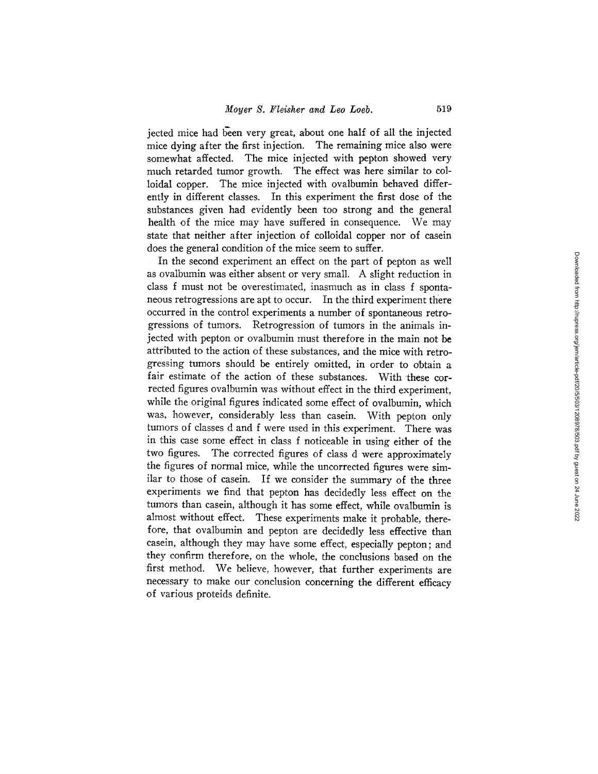jected mice had been very great, about one half of all the injected mice dying after the first injection. The remaining mice also were somewhat affected. The mice injected with pepton showed very much retarded tumor growth. The effect was here similar to colloidal copper. The mice injected with ovalbumin behaved differently in different classes. In this experiment the first dose of the substances given had evidently been too strong and the general health of the mice may have suffered in consequence. We may state that neither after injection of colloidal copper nor of casein does the general condition of the mice seem to suffer.

In the second experiment an effect on the part of pepton as well as ovalbumin was either absent or very small. A slight reduction in class f must not be overestimated, inasmuch as in class f spontaneous retrogressions are apt to occur. In the third experiment there occurred in the control experiments a number of spontaneous retrogressions of tumors. Retrogression of tumors in the animals injected with pepton or ovalbumin must therefore in the main not be attributed to the action of these substances, and the mice with retrogressing tumors should be entirely omitted, in order to obtain a fair estimate of the action of these substances. With these corrected figures ovalbumin was without effect in the third experiment, while the original figures indicated some effect of ovalbumin, which was, however, considerably less than casein. With pepton only tumors of classes d and f were used in this experiment. There was in this case some effect in class f noticeable in using either of the two figures. The corrected figures of class d were approximately the figures of normal mice, while the uncorrected figures were similar to those of casein. If we consider the summary of the three experiments we find that pepton has decidedly less effect on the tumors than casein, although it has some effect, while ovalbumin is almost without effect. These experiments make it probable, therefore, that ovalbumin and pepton are decidedly less effective than casein, although they may have some effect, especially pepton; and they confirm therefore, on the whole, the conclusions based on the first method. We believe, however, that further experiments are necessary to make our conclusion concerning the different efficacy of various proteids definite.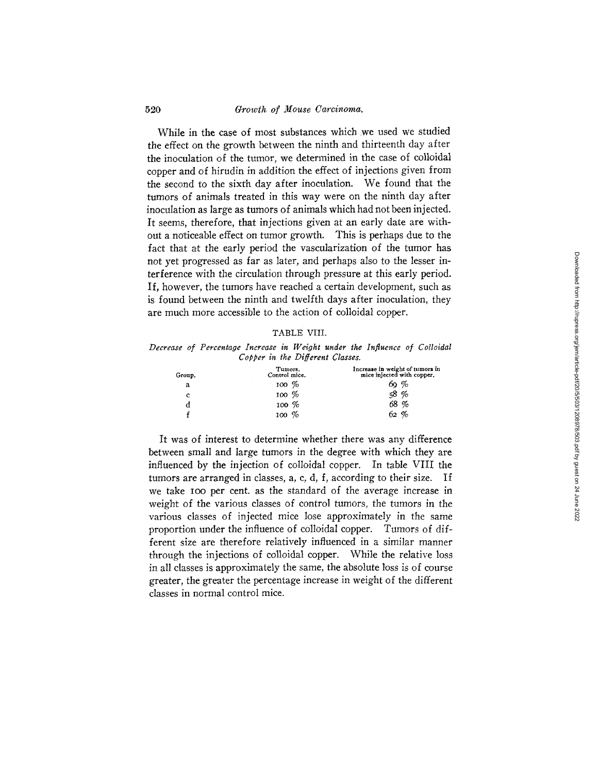While in the case of most substances which we used we studied the effect on the growth between the ninth and thirteenth day after the inoculation of the tumor, we determined in the case of colloidal copper and of hirudin in addition the effect of injections given from the second to the sixth day after inoculation. We found that the tumors of animals treated in this way were on the ninth day after inoculation as large as tumors of animals which had not been injected. It seems, therefore, that injections given at an early date are without a noticeable effect on tumor growth. This is perhaps due to the fact that at the early period the vascularization of the tumor has not yet progressed as far as later, and perhaps also to the lesser interference with the circulation through pressure at this early period. If, however, the tumors have reached a certain development, such as is found between the ninth and twelfth days after inoculation, they are much more accessible to the action of colloidal copper.

TABLE VIII.

*Decrease of Percentage Increase in Weight under the Influence of Colloidal Copper in the Different Classes.* 

| Group. | Tumors.<br>Control mice. | Increase in weight of tumors in<br>mice injected with copper. |
|--------|--------------------------|---------------------------------------------------------------|
| a      | $100\%$                  | 69 %                                                          |
| c      | $100 \%$                 | 58%                                                           |
| d      | $100\%$                  | 68%                                                           |
|        | 100 %                    | $62\%$                                                        |

It was of interest to determine whether there was any difference between small and large tumors in the degree with which they are influenced by the injection of colloidal copper. In table VIII the tumors are arranged in classes, a, c, d, f, according to their size. If we take IOO per cent. as the standard of the average increase in weight of the various classes of control tumors, the tumors in the various classes of injected mice lose approximately in the same proportion under the influence of colloidal copper. Tumors of different size are therefore relatively influenced in a similar manner through the injections of colloidal copper. While the relative loss in all classes is approximately the same, the absolute loss is of course greater, the greater the percentage increase in weight of the different classes in normal control mice.